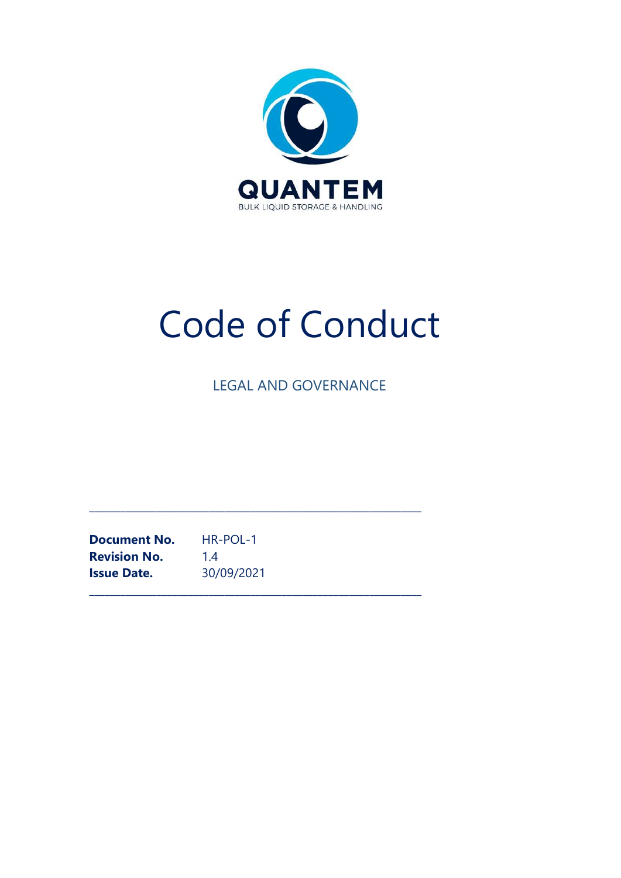

# Code of Conduct

LEGAL AND GOVERNANCE

\_\_\_\_\_\_\_\_\_\_\_\_\_\_\_\_\_\_\_\_\_\_\_\_\_\_\_\_\_\_\_\_\_\_\_\_\_\_\_\_\_\_\_\_\_\_\_\_\_\_\_\_\_\_\_\_\_\_\_\_\_\_\_\_

\_\_\_\_\_\_\_\_\_\_\_\_\_\_\_\_\_\_\_\_\_\_\_\_\_\_\_\_\_\_\_\_\_\_\_\_\_\_\_\_\_\_\_\_\_\_\_\_\_\_\_\_\_\_\_\_\_\_\_\_\_\_\_\_

Document No. HR-POL-1 **Revision No.** 1.4 Issue Date. 30/09/2021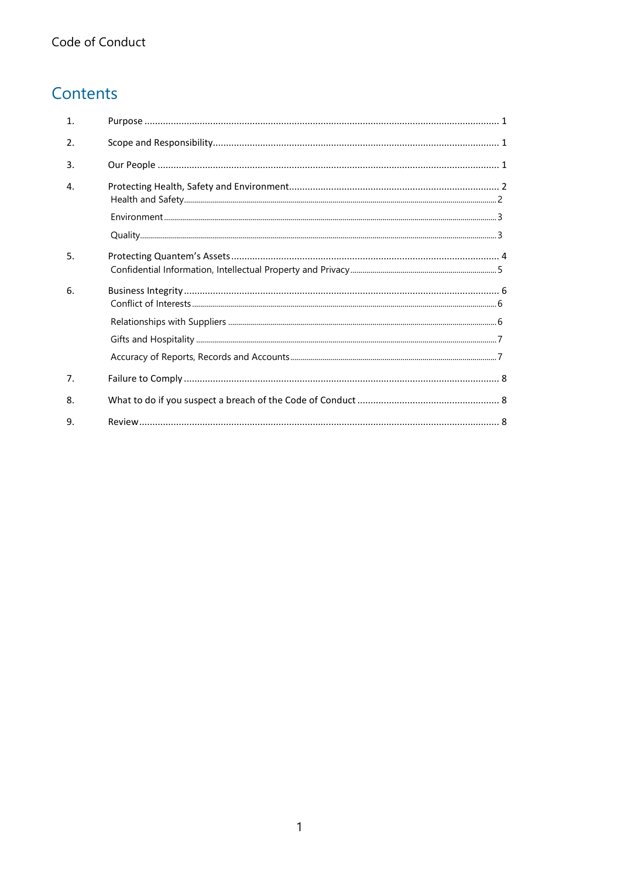# Contents

| $\mathbf{1}$ . |  |
|----------------|--|
| 2.             |  |
| 3.             |  |
| $\mathbf{4}$ . |  |
|                |  |
|                |  |
| 5.             |  |
| 6.             |  |
|                |  |
|                |  |
|                |  |
| 7 <sub>1</sub> |  |
| 8.             |  |
| 9.             |  |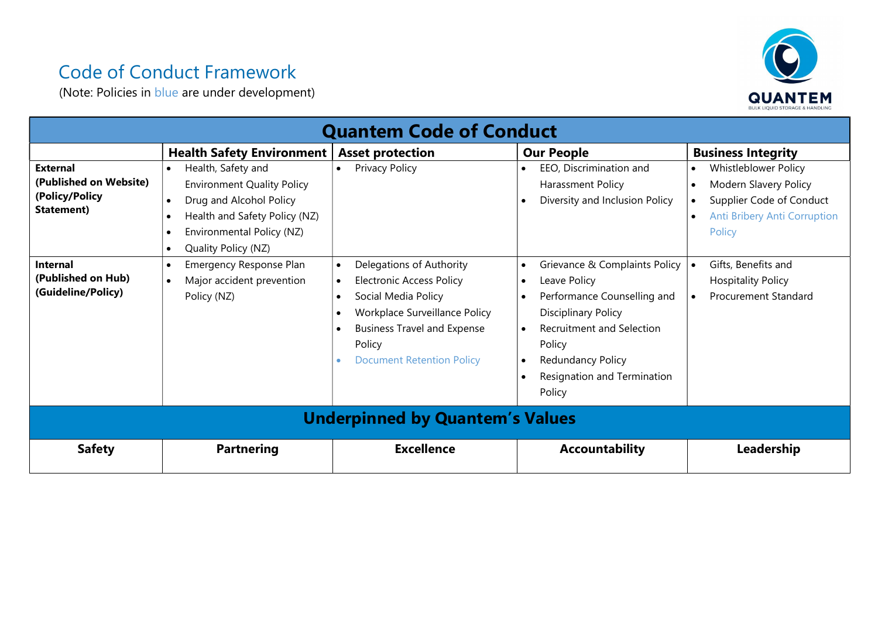# Code of Conduct Framework

(Note: Policies in blue are under development)



| <b>Quantem Code of Conduct</b>                                            |                                                                                                                                                                                      |                                                                                                                                                                                                                                                |                                                                                                                                                                                                                                                  |                                                                                                                                                                         |  |  |
|---------------------------------------------------------------------------|--------------------------------------------------------------------------------------------------------------------------------------------------------------------------------------|------------------------------------------------------------------------------------------------------------------------------------------------------------------------------------------------------------------------------------------------|--------------------------------------------------------------------------------------------------------------------------------------------------------------------------------------------------------------------------------------------------|-------------------------------------------------------------------------------------------------------------------------------------------------------------------------|--|--|
|                                                                           | <b>Health Safety Environment</b>                                                                                                                                                     | <b>Asset protection</b>                                                                                                                                                                                                                        | <b>Our People</b>                                                                                                                                                                                                                                | <b>Business Integrity</b>                                                                                                                                               |  |  |
| <b>External</b><br>(Published on Website)<br>(Policy/Policy<br>Statement) | Health, Safety and<br>$\bullet$<br><b>Environment Quality Policy</b><br>Drug and Alcohol Policy<br>Health and Safety Policy (NZ)<br>Environmental Policy (NZ)<br>Quality Policy (NZ) | Privacy Policy<br>$\bullet$                                                                                                                                                                                                                    | EEO, Discrimination and<br>Harassment Policy<br>Diversity and Inclusion Policy                                                                                                                                                                   | Whistleblower Policy<br>$\bullet$<br>Modern Slavery Policy<br>$\bullet$<br>Supplier Code of Conduct<br>$\bullet$<br>Anti Bribery Anti Corruption<br>$\bullet$<br>Policy |  |  |
| <b>Internal</b><br>(Published on Hub)<br>(Guideline/Policy)               | Emergency Response Plan<br>Major accident prevention<br>Policy (NZ)                                                                                                                  | Delegations of Authority<br>$\bullet$<br><b>Electronic Access Policy</b><br>$\bullet$<br>Social Media Policy<br>$\bullet$<br>Workplace Surveillance Policy<br><b>Business Travel and Expense</b><br>Policy<br><b>Document Retention Policy</b> | Grievance & Complaints Policy<br>$\bullet$<br>Leave Policy<br>$\bullet$<br>Performance Counselling and<br><b>Disciplinary Policy</b><br><b>Recruitment and Selection</b><br>Policy<br>Redundancy Policy<br>Resignation and Termination<br>Policy | Gifts, Benefits and<br><b>Hospitality Policy</b><br><b>Procurement Standard</b><br>$\bullet$                                                                            |  |  |
| <b>Underpinned by Quantem's Values</b>                                    |                                                                                                                                                                                      |                                                                                                                                                                                                                                                |                                                                                                                                                                                                                                                  |                                                                                                                                                                         |  |  |
| <b>Safety</b>                                                             | <b>Partnering</b>                                                                                                                                                                    | <b>Excellence</b>                                                                                                                                                                                                                              | <b>Accountability</b>                                                                                                                                                                                                                            | Leadership                                                                                                                                                              |  |  |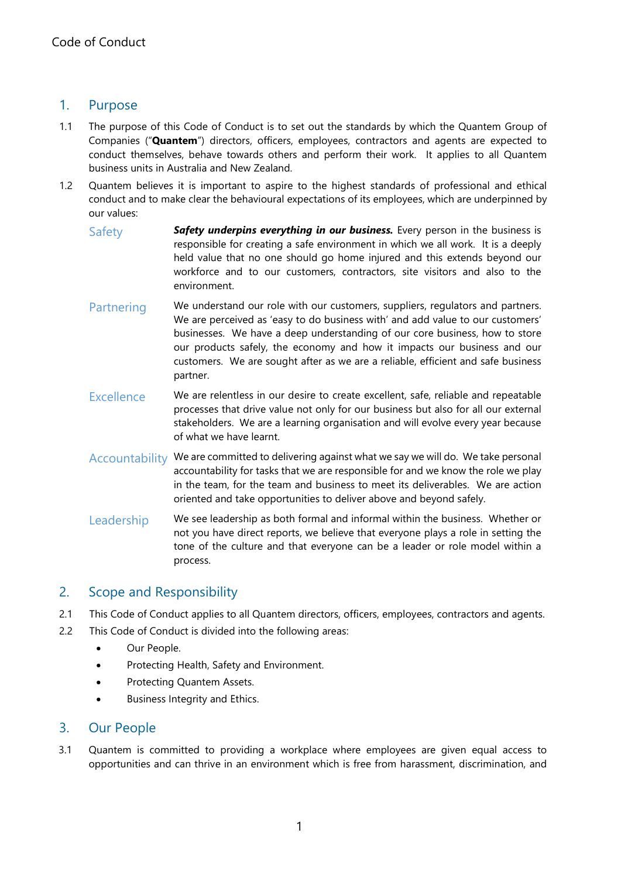# 1. Purpose

- 1.1 The purpose of this Code of Conduct is to set out the standards by which the Quantem Group of Companies ("Quantem") directors, officers, employees, contractors and agents are expected to conduct themselves, behave towards others and perform their work. It applies to all Quantem business units in Australia and New Zealand.
- 1.2 Quantem believes it is important to aspire to the highest standards of professional and ethical conduct and to make clear the behavioural expectations of its employees, which are underpinned by our values:
	- $Safety$  **Safety underpins everything in our business.** Every person in the business is responsible for creating a safe environment in which we all work. It is a deeply held value that no one should go home injured and this extends beyond our workforce and to our customers, contractors, site visitors and also to the environment.
	- Partnering We understand our role with our customers, suppliers, regulators and partners. We are perceived as 'easy to do business with' and add value to our customers' businesses. We have a deep understanding of our core business, how to store our products safely, the economy and how it impacts our business and our customers. We are sought after as we are a reliable, efficient and safe business partner.
	- Excellence We are relentless in our desire to create excellent, safe, reliable and repeatable processes that drive value not only for our business but also for all our external stakeholders. We are a learning organisation and will evolve every year because of what we have learnt.
	- Accountability We are committed to delivering against what we say we will do. We take personal accountability for tasks that we are responsible for and we know the role we play in the team, for the team and business to meet its deliverables. We are action oriented and take opportunities to deliver above and beyond safely.
	- Leadership We see leadership as both formal and informal within the business. Whether or not you have direct reports, we believe that everyone plays a role in setting the tone of the culture and that everyone can be a leader or role model within a process.

### 2. Scope and Responsibility

- 2.1 This Code of Conduct applies to all Quantem directors, officers, employees, contractors and agents.
- 2.2 This Code of Conduct is divided into the following areas:
	- Our People.
	- Protecting Health, Safety and Environment.
	- Protecting Quantem Assets.
	- Business Integrity and Ethics.

#### 3. Our People

3.1 Quantem is committed to providing a workplace where employees are given equal access to opportunities and can thrive in an environment which is free from harassment, discrimination, and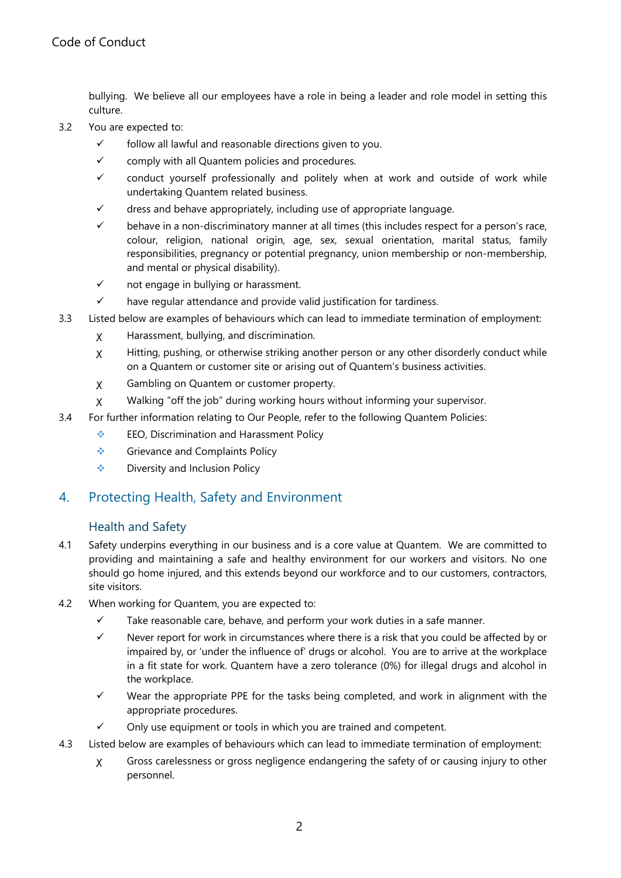bullying. We believe all our employees have a role in being a leader and role model in setting this culture.

- 3.2 You are expected to:
	- $\checkmark$  follow all lawful and reasonable directions given to you.
	- $\checkmark$  comply with all Quantem policies and procedures.
	- $\checkmark$  conduct yourself professionally and politely when at work and outside of work while undertaking Quantem related business.
	- $\checkmark$  dress and behave appropriately, including use of appropriate language.
	- $\checkmark$  behave in a non-discriminatory manner at all times (this includes respect for a person's race, colour, religion, national origin, age, sex, sexual orientation, marital status, family responsibilities, pregnancy or potential pregnancy, union membership or non-membership, and mental or physical disability).
	- $\checkmark$  not engage in bullying or harassment.
	- $\checkmark$  have regular attendance and provide valid justification for tardiness.
- 3.3 Listed below are examples of behaviours which can lead to immediate termination of employment:
	- ꭕ Harassment, bullying, and discrimination.
	- ꭕ Hitting, pushing, or otherwise striking another person or any other disorderly conduct while on a Quantem or customer site or arising out of Quantem's business activities.
	- ꭕ Gambling on Quantem or customer property.
	- ꭕ Walking "off the job" during working hours without informing your supervisor.
- 3.4 For further information relating to Our People, refer to the following Quantem Policies:
	- **EEO, Discrimination and Harassment Policy**
	- Grievance and Complaints Policy
	- ◆ Diversity and Inclusion Policy

### 4. Protecting Health, Safety and Environment

#### Health and Safety

- 4.1 Safety underpins everything in our business and is a core value at Quantem. We are committed to providing and maintaining a safe and healthy environment for our workers and visitors. No one should go home injured, and this extends beyond our workforce and to our customers, contractors, site visitors.
- 4.2 When working for Quantem, you are expected to:
	- $\checkmark$  Take reasonable care, behave, and perform your work duties in a safe manner.
	- $\checkmark$  Never report for work in circumstances where there is a risk that you could be affected by or impaired by, or 'under the influence of' drugs or alcohol. You are to arrive at the workplace in a fit state for work. Quantem have a zero tolerance (0%) for illegal drugs and alcohol in the workplace.
	- $\checkmark$  Wear the appropriate PPE for the tasks being completed, and work in alignment with the appropriate procedures.
	- $\checkmark$  Only use equipment or tools in which you are trained and competent.
- 4.3 Listed below are examples of behaviours which can lead to immediate termination of employment:
	- ꭕ Gross carelessness or gross negligence endangering the safety of or causing injury to other personnel.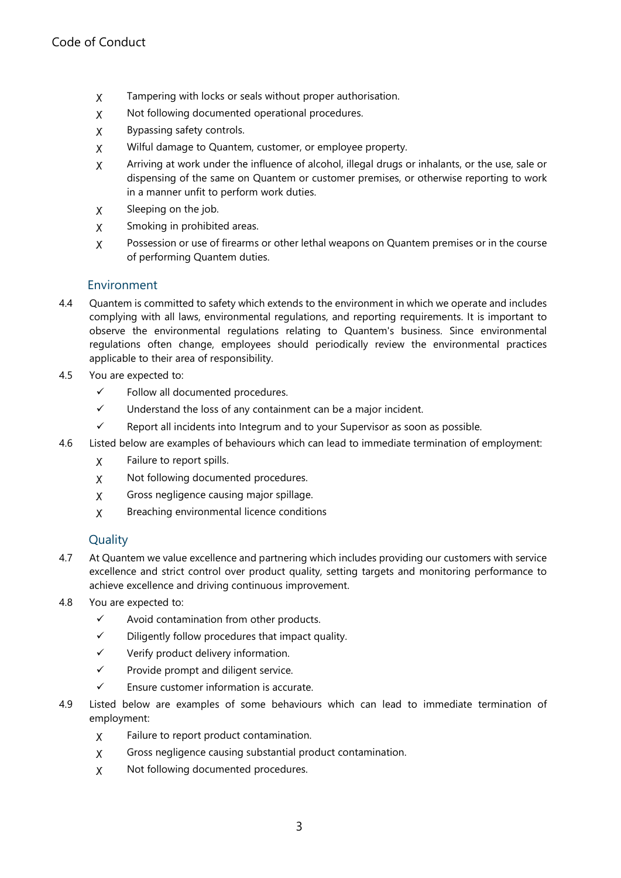- ꭕ Tampering with locks or seals without proper authorisation.
- ꭕ Not following documented operational procedures.
- ꭕ Bypassing safety controls.
- ꭕ Wilful damage to Quantem, customer, or employee property.
- ꭕ Arriving at work under the influence of alcohol, illegal drugs or inhalants, or the use, sale or dispensing of the same on Quantem or customer premises, or otherwise reporting to work in a manner unfit to perform work duties.
- ꭕ Sleeping on the job.
- ꭕ Smoking in prohibited areas.
- ꭕ Possession or use of firearms or other lethal weapons on Quantem premises or in the course of performing Quantem duties.

#### Environment

- 4.4 Quantem is committed to safety which extends to the environment in which we operate and includes complying with all laws, environmental regulations, and reporting requirements. It is important to observe the environmental regulations relating to Quantem's business. Since environmental regulations often change, employees should periodically review the environmental practices applicable to their area of responsibility.
- 4.5 You are expected to:
	- $\checkmark$  Follow all documented procedures.
	- $\checkmark$  Understand the loss of any containment can be a major incident.
	- $\checkmark$  Report all incidents into Integrum and to your Supervisor as soon as possible.
- 4.6 Listed below are examples of behaviours which can lead to immediate termination of employment:
	- ꭕ Failure to report spills.
	- ꭕ Not following documented procedures.
	- ꭕ Gross negligence causing major spillage.
	- ꭕ Breaching environmental licence conditions

#### Quality

- 4.7 At Quantem we value excellence and partnering which includes providing our customers with service excellence and strict control over product quality, setting targets and monitoring performance to achieve excellence and driving continuous improvement.
- 4.8 You are expected to:
	- $\checkmark$  Avoid contamination from other products.
	- $\checkmark$  Diligently follow procedures that impact quality.
	- $\checkmark$  Verify product delivery information.
	- $\checkmark$  Provide prompt and diligent service.
	- $\checkmark$  Ensure customer information is accurate.
- 4.9 Listed below are examples of some behaviours which can lead to immediate termination of employment:
	- ꭕ Failure to report product contamination.
	- ꭕ Gross negligence causing substantial product contamination.
	- ꭕ Not following documented procedures.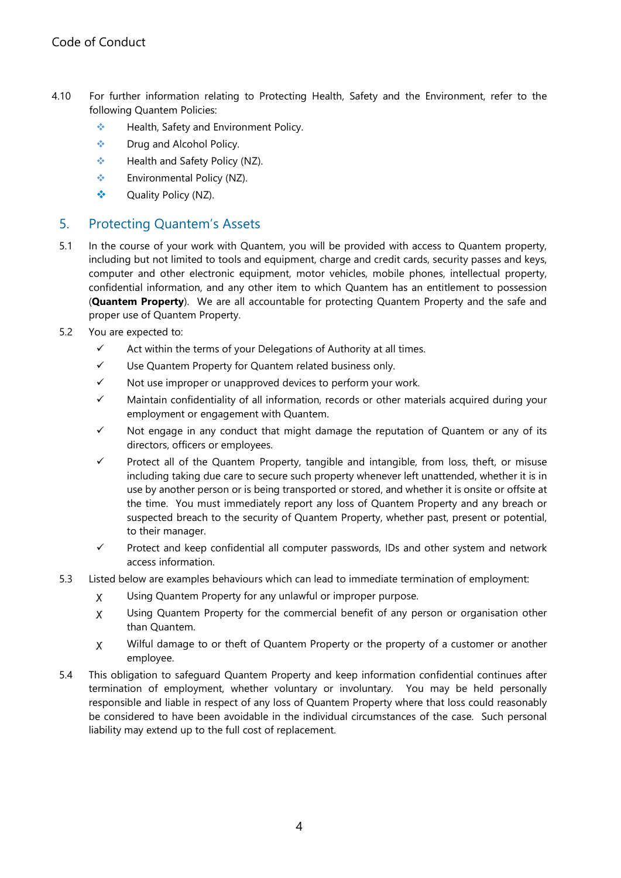- 4.10 For further information relating to Protecting Health, Safety and the Environment, refer to the following Quantem Policies:
	- ❖ Health, Safety and Environment Policy.
	- $\div$  Drug and Alcohol Policy.
	- ❖ Health and Safety Policy (NZ).
	- Environmental Policy (NZ).
	- Quality Policy (NZ).

# 5. Protecting Quantem's Assets

- 5.1 In the course of your work with Quantem, you will be provided with access to Quantem property, including but not limited to tools and equipment, charge and credit cards, security passes and keys, computer and other electronic equipment, motor vehicles, mobile phones, intellectual property, confidential information, and any other item to which Quantem has an entitlement to possession (**Quantem Property**). We are all accountable for protecting Quantem Property and the safe and proper use of Quantem Property.
- 5.2 You are expected to:
	- $\checkmark$  Act within the terms of your Delegations of Authority at all times.
	- $\checkmark$  Use Quantem Property for Quantem related business only.
	- $\checkmark$  Not use improper or unapproved devices to perform your work.
	- $\checkmark$  Maintain confidentiality of all information, records or other materials acquired during your employment or engagement with Quantem.
	- $\checkmark$  Not engage in any conduct that might damage the reputation of Quantem or any of its directors, officers or employees.
	- $\checkmark$  Protect all of the Quantem Property, tangible and intangible, from loss, theft, or misuse including taking due care to secure such property whenever left unattended, whether it is in use by another person or is being transported or stored, and whether it is onsite or offsite at the time. You must immediately report any loss of Quantem Property and any breach or suspected breach to the security of Quantem Property, whether past, present or potential, to their manager.
	- $\checkmark$  Protect and keep confidential all computer passwords, IDs and other system and network access information.
- 5.3 Listed below are examples behaviours which can lead to immediate termination of employment:
	- ꭕ Using Quantem Property for any unlawful or improper purpose.
	- ꭕ Using Quantem Property for the commercial benefit of any person or organisation other than Quantem.
	- ꭕ Wilful damage to or theft of Quantem Property or the property of a customer or another employee.
- 5.4 This obligation to safeguard Quantem Property and keep information confidential continues after termination of employment, whether voluntary or involuntary. You may be held personally responsible and liable in respect of any loss of Quantem Property where that loss could reasonably be considered to have been avoidable in the individual circumstances of the case. Such personal liability may extend up to the full cost of replacement.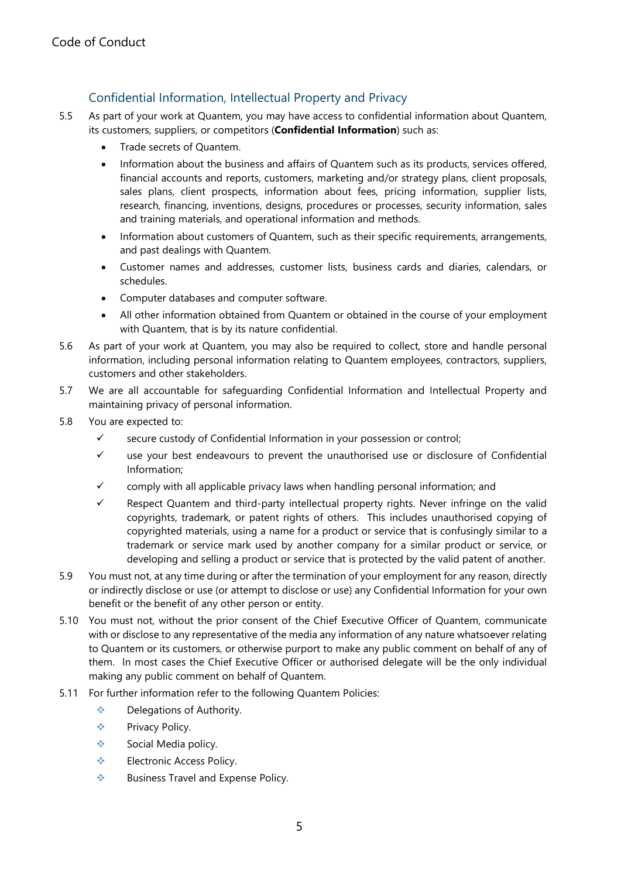# Confidential Information, Intellectual Property and Privacy

- 5.5 As part of your work at Quantem, you may have access to confidential information about Quantem, its customers, suppliers, or competitors (Confidential Information) such as:
	- Trade secrets of Quantem.
	- Information about the business and affairs of Quantem such as its products, services offered, financial accounts and reports, customers, marketing and/or strategy plans, client proposals, sales plans, client prospects, information about fees, pricing information, supplier lists, research, financing, inventions, designs, procedures or processes, security information, sales and training materials, and operational information and methods.
	- Information about customers of Quantem, such as their specific requirements, arrangements, and past dealings with Quantem.
	- Customer names and addresses, customer lists, business cards and diaries, calendars, or schedules.
	- Computer databases and computer software.
	- All other information obtained from Quantem or obtained in the course of your employment with Quantem, that is by its nature confidential.
- 5.6 As part of your work at Quantem, you may also be required to collect, store and handle personal information, including personal information relating to Quantem employees, contractors, suppliers, customers and other stakeholders.
- 5.7 We are all accountable for safeguarding Confidential Information and Intellectual Property and maintaining privacy of personal information.
- 5.8 You are expected to:
	- $\checkmark$  secure custody of Confidential Information in your possession or control;
	- $\checkmark$  use your best endeavours to prevent the unauthorised use or disclosure of Confidential Information;
	- $\checkmark$  comply with all applicable privacy laws when handling personal information; and
	- $\checkmark$  Respect Quantem and third-party intellectual property rights. Never infringe on the valid copyrights, trademark, or patent rights of others. This includes unauthorised copying of copyrighted materials, using a name for a product or service that is confusingly similar to a trademark or service mark used by another company for a similar product or service, or developing and selling a product or service that is protected by the valid patent of another.
- 5.9 You must not, at any time during or after the termination of your employment for any reason, directly or indirectly disclose or use (or attempt to disclose or use) any Confidential Information for your own benefit or the benefit of any other person or entity.
- 5.10 You must not, without the prior consent of the Chief Executive Officer of Quantem, communicate with or disclose to any representative of the media any information of any nature whatsoever relating to Quantem or its customers, or otherwise purport to make any public comment on behalf of any of them. In most cases the Chief Executive Officer or authorised delegate will be the only individual making any public comment on behalf of Quantem.
- 5.11 For further information refer to the following Quantem Policies:
	- ◆ Delegations of Authority.
	- **❖** Privacy Policy.
	- Social Media policy.
	- Electronic Access Policy.
	- ❖ Business Travel and Expense Policy.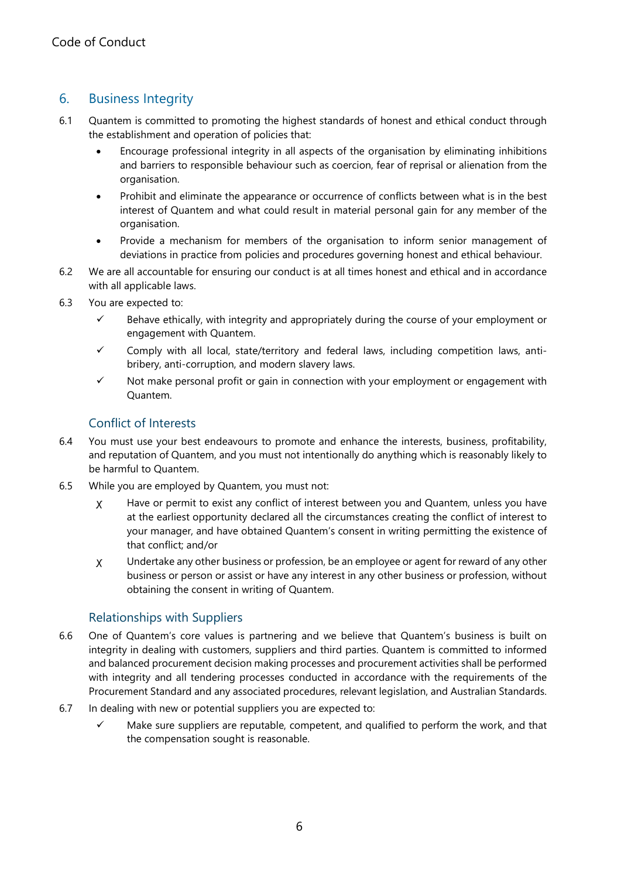# 6. Business Integrity

- 6.1 Quantem is committed to promoting the highest standards of honest and ethical conduct through the establishment and operation of policies that:
	- Encourage professional integrity in all aspects of the organisation by eliminating inhibitions and barriers to responsible behaviour such as coercion, fear of reprisal or alienation from the organisation.
	- Prohibit and eliminate the appearance or occurrence of conflicts between what is in the best interest of Quantem and what could result in material personal gain for any member of the organisation.
	- Provide a mechanism for members of the organisation to inform senior management of deviations in practice from policies and procedures governing honest and ethical behaviour.
- 6.2 We are all accountable for ensuring our conduct is at all times honest and ethical and in accordance with all applicable laws.
- 6.3 You are expected to:
	- $\checkmark$  Behave ethically, with integrity and appropriately during the course of your employment or engagement with Quantem.
	- $\checkmark$  Comply with all local, state/territory and federal laws, including competition laws, antibribery, anti-corruption, and modern slavery laws.
	- $\checkmark$  Not make personal profit or gain in connection with your employment or engagement with Quantem.

#### Conflict of Interests

- 6.4 You must use your best endeavours to promote and enhance the interests, business, profitability, and reputation of Quantem, and you must not intentionally do anything which is reasonably likely to be harmful to Quantem.
- 6.5 While you are employed by Quantem, you must not:
	- ꭕ Have or permit to exist any conflict of interest between you and Quantem, unless you have at the earliest opportunity declared all the circumstances creating the conflict of interest to your manager, and have obtained Quantem's consent in writing permitting the existence of that conflict; and/or
	- ꭕ Undertake any other business or profession, be an employee or agent for reward of any other business or person or assist or have any interest in any other business or profession, without obtaining the consent in writing of Quantem.

### Relationships with Suppliers

- 6.6 One of Quantem's core values is partnering and we believe that Quantem's business is built on integrity in dealing with customers, suppliers and third parties. Quantem is committed to informed and balanced procurement decision making processes and procurement activities shall be performed with integrity and all tendering processes conducted in accordance with the requirements of the Procurement Standard and any associated procedures, relevant legislation, and Australian Standards.
- 6.7 In dealing with new or potential suppliers you are expected to:
	- $\checkmark$  Make sure suppliers are reputable, competent, and qualified to perform the work, and that the compensation sought is reasonable.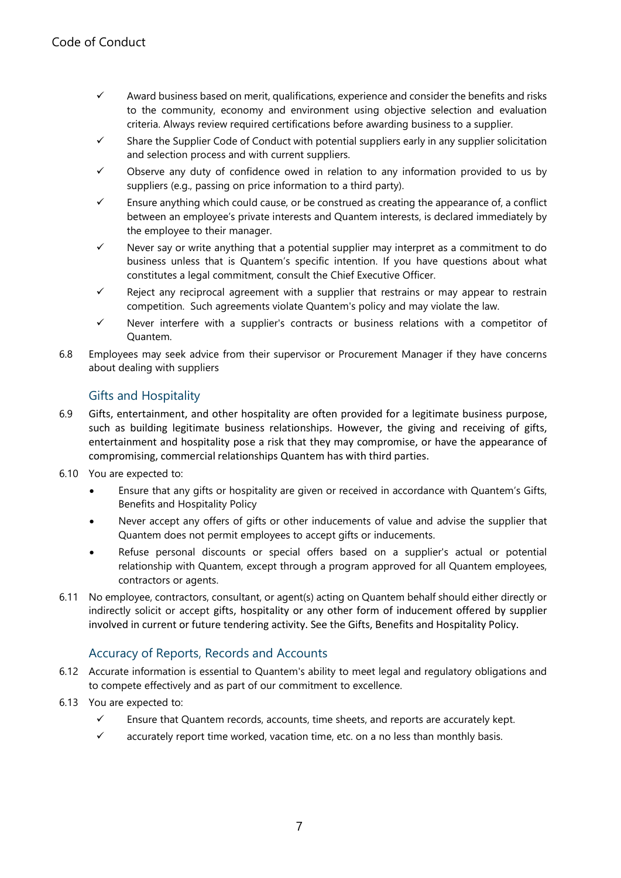- $\checkmark$  Award business based on merit, qualifications, experience and consider the benefits and risks to the community, economy and environment using objective selection and evaluation criteria. Always review required certifications before awarding business to a supplier.
- $\checkmark$  Share the Supplier Code of Conduct with potential suppliers early in any supplier solicitation and selection process and with current suppliers.
- $\checkmark$  Observe any duty of confidence owed in relation to any information provided to us by suppliers (e.g., passing on price information to a third party).
- $\checkmark$  Ensure anything which could cause, or be construed as creating the appearance of, a conflict between an employee's private interests and Quantem interests, is declared immediately by the employee to their manager.
- $\checkmark$  Never say or write anything that a potential supplier may interpret as a commitment to do business unless that is Quantem's specific intention. If you have questions about what constitutes a legal commitment, consult the Chief Executive Officer.
- $\checkmark$  Reject any reciprocal agreement with a supplier that restrains or may appear to restrain competition. Such agreements violate Quantem's policy and may violate the law.
- $\checkmark$  Never interfere with a supplier's contracts or business relations with a competitor of Quantem.
- 6.8 Employees may seek advice from their supervisor or Procurement Manager if they have concerns about dealing with suppliers

#### Gifts and Hospitality

- 6.9 Gifts, entertainment, and other hospitality are often provided for a legitimate business purpose, such as building legitimate business relationships. However, the giving and receiving of gifts, entertainment and hospitality pose a risk that they may compromise, or have the appearance of compromising, commercial relationships Quantem has with third parties.
- 6.10 You are expected to:
	- Ensure that any gifts or hospitality are given or received in accordance with Quantem's Gifts, Benefits and Hospitality Policy
	- Never accept any offers of gifts or other inducements of value and advise the supplier that Quantem does not permit employees to accept gifts or inducements.
	- Refuse personal discounts or special offers based on a supplier's actual or potential relationship with Quantem, except through a program approved for all Quantem employees, contractors or agents.
- 6.11 No employee, contractors, consultant, or agent(s) acting on Quantem behalf should either directly or indirectly solicit or accept gifts, hospitality or any other form of inducement offered by supplier involved in current or future tendering activity. See the Gifts, Benefits and Hospitality Policy.

### Accuracy of Reports, Records and Accounts

- 6.12 Accurate information is essential to Quantem's ability to meet legal and regulatory obligations and to compete effectively and as part of our commitment to excellence.
- 6.13 You are expected to:
	- $\checkmark$  Ensure that Quantem records, accounts, time sheets, and reports are accurately kept.
	- $\checkmark$  accurately report time worked, vacation time, etc. on a no less than monthly basis.